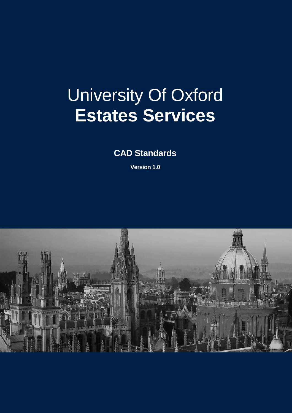# University Of Oxford **Estates Services**

**CAD Standards**

**Version 1.0**

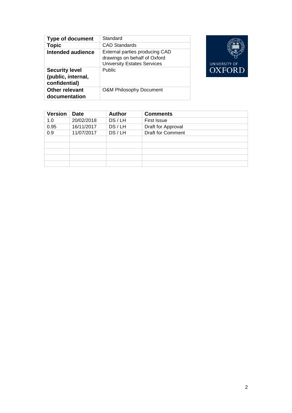| <b>Type of document</b>                                      | Standard                                                                                             |
|--------------------------------------------------------------|------------------------------------------------------------------------------------------------------|
| <b>Topic</b>                                                 | <b>CAD Standards</b>                                                                                 |
| Intended audience                                            | External parties producing CAD<br>drawings on behalf of Oxford<br><b>University Estates Services</b> |
| <b>Security level</b><br>(public, internal,<br>confidential) | <b>Public</b>                                                                                        |
| <b>Other relevant</b><br>documentation                       | <b>O&amp;M Philosophy Document</b>                                                                   |



| <b>Version</b> | <b>Date</b> | <b>Author</b> | <b>Comments</b>          |
|----------------|-------------|---------------|--------------------------|
| 1.0            | 20/02/2018  | DS/LH         | <b>First Issue</b>       |
| 0.95           | 16/11/2017  | DS/LH         | Draft for Approval       |
| 0.9            | 11/07/2017  | DS/LH         | <b>Draft for Comment</b> |
|                |             |               |                          |
|                |             |               |                          |
|                |             |               |                          |
|                |             |               |                          |
|                |             |               |                          |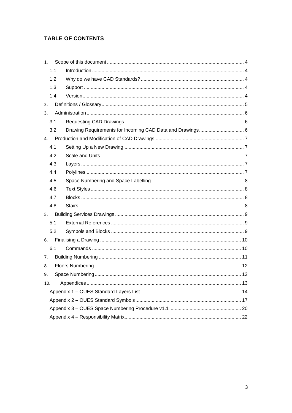## **TABLE OF CONTENTS**

| 1.               |      |                                                           |  |
|------------------|------|-----------------------------------------------------------|--|
|                  | 1.1. |                                                           |  |
|                  | 1.2. |                                                           |  |
|                  | 1.3. |                                                           |  |
|                  | 1.4. |                                                           |  |
| 2.               |      |                                                           |  |
| 3.               |      |                                                           |  |
|                  | 3.1. |                                                           |  |
|                  | 3.2. | Drawing Requirements for Incoming CAD Data and Drawings 6 |  |
| $\overline{4}$ . |      |                                                           |  |
|                  | 4.1. |                                                           |  |
|                  | 4.2. |                                                           |  |
|                  | 4.3. |                                                           |  |
|                  | 4.4. |                                                           |  |
|                  | 4.5. |                                                           |  |
|                  | 4.6. |                                                           |  |
|                  | 4.7. |                                                           |  |
|                  | 4.8. |                                                           |  |
| 5.               |      |                                                           |  |
|                  | 5.1. |                                                           |  |
|                  | 5.2. |                                                           |  |
| 6.               |      |                                                           |  |
|                  | 6.1. |                                                           |  |
| 7.               |      |                                                           |  |
| 8.               |      |                                                           |  |
| 9.               |      |                                                           |  |
| 10.              |      |                                                           |  |
|                  |      |                                                           |  |
|                  |      |                                                           |  |
|                  |      |                                                           |  |
|                  |      |                                                           |  |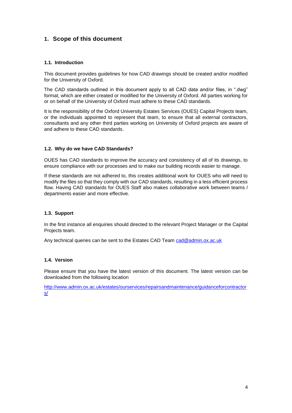## <span id="page-3-0"></span>**1. Scope of this document**

#### <span id="page-3-1"></span>**1.1. Introduction**

This document provides guidelines for how CAD drawings should be created and/or modified for the University of Oxford.

The CAD standards outlined in this document apply to all CAD data and/or files, in ".dwg" format, which are either created or modified for the University of Oxford. All parties working for or on behalf of the University of Oxford must adhere to these CAD standards.

It is the responsibility of the Oxford University Estates Services (OUES) Capital Projects team, or the individuals appointed to represent that team, to ensure that all external contractors, consultants and any other third parties working on University of Oxford projects are aware of and adhere to these CAD standards.

#### <span id="page-3-2"></span>**1.2. Why do we have CAD Standards?**

OUES has CAD standards to improve the accuracy and consistency of all of its drawings, to ensure compliance with our processes and to make our building records easier to manage.

If these standards are not adhered to, this creates additional work for OUES who will need to modify the files so that they comply with our CAD standards, resulting in a less efficient process flow. Having CAD standards for OUES Staff also makes collaborative work between teams / departments easier and more effective.

#### <span id="page-3-3"></span>**1.3. Support**

In the first instance all enquiries should directed to the relevant Project Manager or the Capital Projects team.

Any technical queries can be sent to the Estates CAD Team [cad@admin.ox.ac.uk](mailto:cad@admin.ox.ac.uk)

#### <span id="page-3-4"></span>**1.4. Version**

Please ensure that you have the latest version of this document. The latest version can be downloaded from the following location

[http://www.admin.ox.ac.uk/estates/ourservices/repairsandmaintenance/guidanceforcontractor](http://www.admin.ox.ac.uk/estates/ourservices/repairsandmaintenance/guidanceforcontractors/) [s/](http://www.admin.ox.ac.uk/estates/ourservices/repairsandmaintenance/guidanceforcontractors/)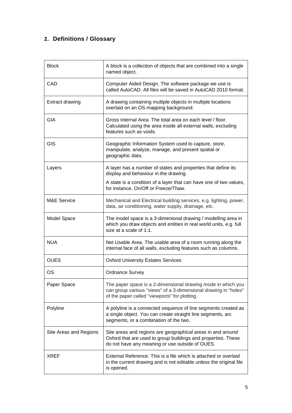## <span id="page-4-0"></span>**2. Definitions / Glossary**

| <b>Block</b>           | A block is a collection of objects that are combined into a single<br>named object.                                                                                              |
|------------------------|----------------------------------------------------------------------------------------------------------------------------------------------------------------------------------|
| CAD                    | Computer Aided Design. The software package we use is<br>called AutoCAD. All files will be saved in AutoCAD 2010 format.                                                         |
| <b>Extract drawing</b> | A drawing containing multiple objects in multiple locations<br>overlaid on an OS mapping background.                                                                             |
| <b>GIA</b>             | Gross Internal Area. The total area on each level / floor.<br>Calculated using the area inside all external walls, excluding<br>features such as voids.                          |
| GIS                    | Geographic Information System used to capture, store,<br>manipulate, analyze, manage, and present spatial or<br>geographic data.                                                 |
| Layers                 | A layer has a number of states and properties that define its<br>display and behaviour in the drawing.                                                                           |
|                        | A state is a condition of a layer that can have one of two values,<br>for instance, On/Off or Freeze/Thaw.                                                                       |
| <b>M&amp;E Service</b> | Mechanical and Electrical building services, e.g. lighting, power,<br>data, air conditioning, water supply, drainage, etc.                                                       |
| Model Space            | The model space is a 3-dimenional drawing / modelling area in<br>which you draw objects and entities in real world units, e.g. full<br>size at a scale of 1:1.                   |
| <b>NUA</b>             | Net Usable Area. The usable area of a room running along the<br>internal face of all walls, excluding features such as columns.                                                  |
| <b>OUES</b>            | <b>Oxford University Estates Services</b>                                                                                                                                        |
| OS                     | <b>Ordnance Survey</b>                                                                                                                                                           |
| Paper Space            | The paper space is a 2-dimensional drawing mode in which you<br>can group various "views" of a 3-dimensional drawing in "holes"<br>of the paper called "viewports" for plotting. |
| Polyline               | A polyline is a connected sequence of line segments created as<br>a single object. You can create straight line segments, arc<br>segments, or a combination of the two.          |
| Site Areas and Regions | Site areas and regions are geographical areas in and around<br>Oxford that are used to group buildings and properties. These<br>do not have any meaning or use outside of OUES.  |
| XREF                   | External Reference. This is a file which is attached or overlaid<br>in the current drawing and is not editable unless the original file<br>is opened.                            |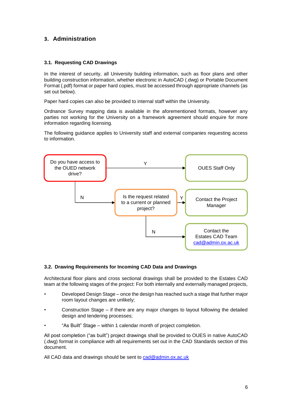## <span id="page-5-0"></span>**3. Administration**

#### <span id="page-5-1"></span>**3.1. Requesting CAD Drawings**

In the interest of security, all University building information, such as floor plans and other building construction information, whether electronic in AutoCAD (.dwg) or Portable Document Format (.pdf) format or paper hard copies, must be accessed through appropriate channels (as set out below).

Paper hard copies can also be provided to internal staff within the University.

Ordnance Survey mapping data is available in the aforementioned formats, however any parties not working for the University on a framework agreement should enquire for more information regarding licensing.

The following guidance applies to University staff and external companies requesting access to information.



#### <span id="page-5-2"></span>**3.2. Drawing Requirements for Incoming CAD Data and Drawings**

Architectural floor plans and cross sectional drawings shall be provided to the Estates CAD team at the following stages of the project: For both internally and externally managed projects,

- Developed Design Stage once the design has reached such a stage that further major room layout changes are unlikely;
- Construction Stage if there are any major changes to layout following the detailed design and tendering processes;
- "As Built" Stage within 1 calendar month of project completion.

All post completion ("as built") project drawings shall be provided to OUES in native AutoCAD (.dwg) format in compliance with all requirements set out in the CAD Standards section of this document.

All CAD data and drawings should be sent to [cad@admin.ox.ac.uk](mailto:cad@admin.ox.ac.uk)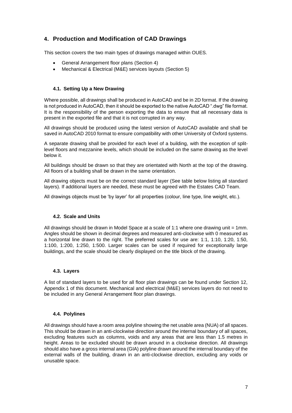## <span id="page-6-0"></span>**4. Production and Modification of CAD Drawings**

This section covers the two main types of drawings managed within OUES.

- General Arrangement floor plans (Section 4)
- Mechanical & Electrical (M&E) services layouts (Section 5)

#### <span id="page-6-1"></span>**4.1. Setting Up a New Drawing**

Where possible, all drawings shall be produced in AutoCAD and be in 2D format. If the drawing is not produced in AutoCAD, then it should be exported to the native AutoCAD ".dwg" file format. It is the responsibility of the person exporting the data to ensure that all necessary data is present in the exported file and that it is not corrupted in any way.

All drawings should be produced using the latest version of AutoCAD available and shall be saved in AutoCAD 2010 format to ensure compatibility with other University of Oxford systems.

A separate drawing shall be provided for each level of a building, with the exception of splitlevel floors and mezzanine levels, which should be included on the same drawing as the level below it.

All buildings should be drawn so that they are orientated with North at the top of the drawing. All floors of a building shall be drawn in the same orientation.

All drawing objects must be on the correct standard layer (See table below listing all standard layers). If additional layers are needed, these must be agreed with the Estates CAD Team.

All drawings objects must be 'by layer' for all properties (colour, line type, line weight, etc.).

#### <span id="page-6-2"></span>**4.2. Scale and Units**

All drawings should be drawn in Model Space at a scale of 1:1 where one drawing unit = 1mm. Angles should be shown in decimal degrees and measured anti-clockwise with 0 measured as a horizontal line drawn to the right. The preferred scales for use are: 1:1, 1:10, 1:20, 1:50, 1:100, 1:200, 1:250, 1:500. Larger scales can be used if required for exceptionally large buildings, and the scale should be clearly displayed on the title block of the drawing.

#### <span id="page-6-3"></span>**4.3. Layers**

A list of standard layers to be used for all floor plan drawings can be found under Section 12, Appendix 1 of this document. Mechanical and electrical (M&E) services layers do not need to be included in any General Arrangement floor plan drawings.

#### <span id="page-6-4"></span>**4.4. Polylines**

All drawings should have a room area polyline showing the net usable area (NUA) of all spaces. This should be drawn in an anti-clockwise direction around the internal boundary of all spaces, excluding features such as columns, voids and any areas that are less than 1.5 metres in height. Areas to be excluded should be drawn around in a clockwise direction. All drawings should also have a gross internal area (GIA) polyline drawn around the internal boundary of the external walls of the building, drawn in an anti-clockwise direction, excluding any voids or unusable space.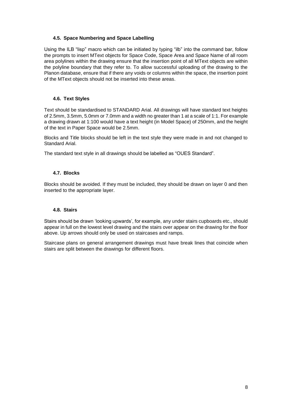#### <span id="page-7-0"></span>**4.5. Space Numbering and Space Labelling**

Using the ILB "lisp" macro which can be initiated by typing "ilb" into the command bar, follow the prompts to insert MText objects for Space Code, Space Area and Space Name of all room area polylines within the drawing ensure that the insertion point of all MText objects are within the polyline boundary that they refer to. To allow successful uploading of the drawing to the Planon database, ensure that if there any voids or columns within the space, the insertion point of the MText objects should not be inserted into these areas.

#### <span id="page-7-1"></span>**4.6. Text Styles**

Text should be standardised to STANDARD Arial. All drawings will have standard text heights of 2.5mm, 3.5mm, 5.0mm or 7.0mm and a width no greater than 1 at a scale of 1:1. For example a drawing drawn at 1:100 would have a text height (in Model Space) of 250mm, and the height of the text in Paper Space would be 2.5mm.

Blocks and Title blocks should be left in the text style they were made in and not changed to Standard Arial.

The standard text style in all drawings should be labelled as "OUES Standard".

#### <span id="page-7-2"></span>**4.7. Blocks**

Blocks should be avoided. If they must be included, they should be drawn on layer 0 and then inserted to the appropriate layer.

#### <span id="page-7-3"></span>**4.8. Stairs**

Stairs should be drawn 'looking upwards', for example, any under stairs cupboards etc., should appear in full on the lowest level drawing and the stairs over appear on the drawing for the floor above. Up arrows should only be used on staircases and ramps.

Staircase plans on general arrangement drawings must have break lines that coincide when stairs are split between the drawings for different floors.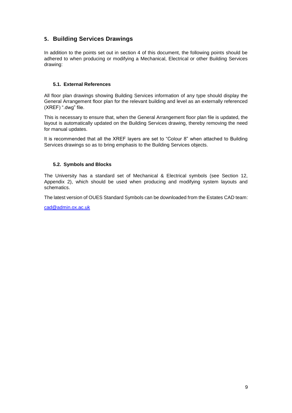## <span id="page-8-0"></span>**5. Building Services Drawings**

In addition to the points set out in section 4 of this document, the following points should be adhered to when producing or modifying a Mechanical, Electrical or other Building Services drawing:

#### <span id="page-8-1"></span>**5.1. External References**

All floor plan drawings showing Building Services information of any type should display the General Arrangement floor plan for the relevant building and level as an externally referenced (XREF) ".dwg" file.

This is necessary to ensure that, when the General Arrangement floor plan file is updated, the layout is automatically updated on the Building Services drawing, thereby removing the need for manual updates.

It is recommended that all the XREF layers are set to "Colour 8" when attached to Building Services drawings so as to bring emphasis to the Building Services objects.

#### <span id="page-8-2"></span>**5.2. Symbols and Blocks**

The University has a standard set of Mechanical & Electrical symbols (see Section 12, Appendix 2), which should be used when producing and modifying system layouts and schematics.

The latest version of OUES Standard Symbols can be downloaded from the Estates CAD team:

[cad@admin.ox.ac.uk](mailto:cad@admin.ox.ac.uk)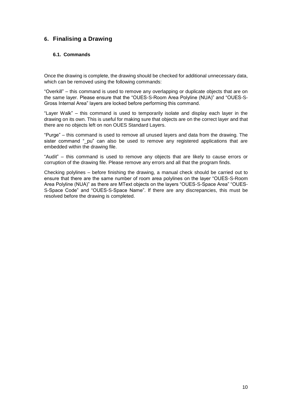## <span id="page-9-0"></span>**6. Finalising a Drawing**

#### <span id="page-9-1"></span>**6.1. Commands**

Once the drawing is complete, the drawing should be checked for additional unnecessary data, which can be removed using the following commands:

"Overkill" – this command is used to remove any overlapping or duplicate objects that are on the same layer. Please ensure that the "OUES-S-Room Area Polyline (NUA)" and "OUES-S-Gross Internal Area" layers are locked before performing this command.

"Layer Walk" – this command is used to temporarily isolate and display each layer in the drawing on its own. This is useful for making sure that objects are on the correct layer and that there are no objects left on non OUES Standard Layers.

"Purge" – this command is used to remove all unused layers and data from the drawing. The sister command "\_pu" can also be used to remove any registered applications that are embedded within the drawing file.

"Audit" – this command is used to remove any objects that are likely to cause errors or corruption of the drawing file. Please remove any errors and all that the program finds.

Checking polylines – before finishing the drawing, a manual check should be carried out to ensure that there are the same number of room area polylines on the layer "OUES-S-Room Area Polyline (NUA)" as there are MText objects on the layers "OUES-S-Space Area" "OUES-S-Space Code" and "OUES-S-Space Name". If there are any discrepancies, this must be resolved before the drawing is completed.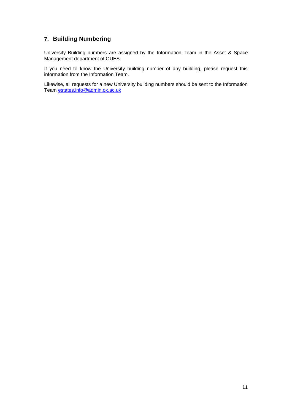## <span id="page-10-0"></span>**7. Building Numbering**

University Building numbers are assigned by the Information Team in the Asset & Space Management department of OUES.

If you need to know the University building number of any building, please request this information from the Information Team.

Likewise, all requests for a new University building numbers should be sent to the Information Team [estates.info@admin.ox.ac.uk](mailto:estates.info@admin.ox.ac.uk)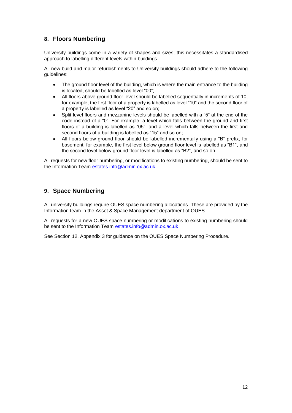## <span id="page-11-0"></span>**8. Floors Numbering**

University buildings come in a variety of shapes and sizes; this necessitates a standardised approach to labelling different levels within buildings.

All new build and major refurbishments to University buildings should adhere to the following guidelines:

- The ground floor level of the building, which is where the main entrance to the building is located, should be labelled as level "00";
- All floors above ground floor level should be labelled sequentially in increments of 10, for example, the first floor of a property is labelled as level "10" and the second floor of a property is labelled as level "20" and so on;
- Split level floors and mezzanine levels should be labelled with a "5" at the end of the code instead of a "0". For example, a level which falls between the ground and first floors of a building is labelled as "05", and a level which falls between the first and second floors of a building is labelled as "15" and so on;
- All floors below ground floor should be labelled incrementally using a "B" prefix, for basement, for example, the first level below ground floor level is labelled as "B1", and the second level below ground floor level is labelled as "B2", and so on.

All requests for new floor numbering, or modifications to existing numbering, should be sent to the Information Team [estates.info@admin.ox.ac.uk](mailto:estates.info@admin.ox.ac.uk)

### <span id="page-11-1"></span>**9. Space Numbering**

All university buildings require OUES space numbering allocations. These are provided by the Information team in the Asset & Space Management department of OUES.

All requests for a new OUES space numbering or modifications to existing numbering should be sent to the Information Team [estates.info@admin.ox.ac.uk](mailto:estates.info@admin.ox.ac.uk)

See Section 12, Appendix 3 for guidance on the OUES Space Numbering Procedure.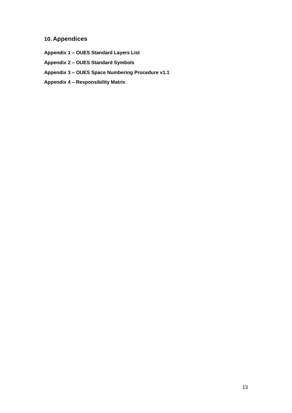## <span id="page-12-0"></span>**10. Appendices**

**Appendix 1 – OUES Standard Layers List Appendix 2 – OUES Standard Symbols Appendix 3 – OUES Space Numbering Procedure v1.1 Appendix 4 – Responsibility Matrix**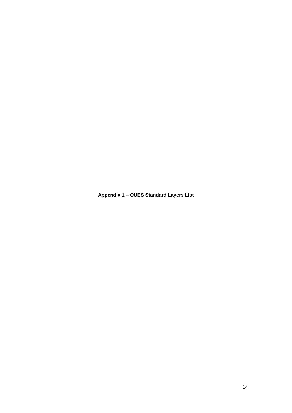<span id="page-13-0"></span>**Appendix 1 – OUES Standard Layers List**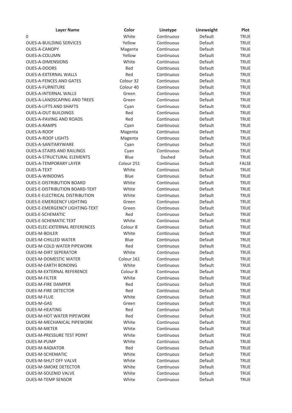| White<br>Default<br>Continuous<br><b>TRUE</b><br>0<br>Default<br>Yellow<br>Continuous<br><b>TRUE</b><br><b>TRUE</b><br>Continuous<br>Default<br>Magenta<br>Yellow<br>Default<br><b>TRUE</b><br>Continuous<br>White<br>Default<br><b>TRUE</b><br>Continuous<br>Red<br>Default<br>Continuous<br><b>TRUE</b><br>Default<br><b>TRUE</b><br>Red<br>Continuous<br>Default<br><b>TRUE</b><br>Colour 32<br>Continuous<br>Default<br><b>TRUE</b><br>Colour 40<br>Continuous<br>Continuous<br>Default<br><b>TRUE</b><br>Green<br>Default<br><b>TRUE</b><br>Green<br>Continuous<br>Continuous<br>Default<br><b>TRUE</b><br>Cyan<br>Default<br>Red<br>Continuous<br><b>TRUE</b><br>Default<br>Red<br>Continuous<br><b>TRUE</b><br>Default<br><b>TRUE</b><br>Continuous<br>Cyan<br>Magenta<br>Continuous<br>Default<br><b>TRUE</b><br>Default<br><b>TRUE</b><br>Magenta<br>Continuous<br>Default<br><b>TRUE</b><br>Cyan<br>Continuous<br><b>OUES-A-STAIRS AND RAILINGS</b><br>Continuous<br>Default<br><b>TRUE</b><br>Cyan<br><b>OUES-A-STRUCTURAL ELEMENTS</b><br>Blue<br>Dashed<br>Default<br><b>TRUE</b><br>Colour 251<br>Continuous<br>Default<br><b>FALSE</b><br>White<br><b>OUES-A-TEXT</b><br>Continuous<br>Default<br><b>TRUE</b><br>Default<br><b>OUES-A-WINDOWS</b><br>Blue<br><b>TRUE</b><br>Continuous<br>Default<br><b>OUES-E-DISTRIBUTION BOARD</b><br>White<br>Continuous<br><b>TRUE</b><br>Default<br><b>OUES-E-DISTRIBUTION BOARD-TEXT</b><br>White<br>Continuous<br><b>TRUE</b><br>Default<br>OUES-E-ELECTRICAL DISTRIBUTION<br>White<br>Continuous<br><b>TRUE</b><br><b>OUES-E-EMERGENCY LIGHTING</b><br>Default<br>Continuous<br><b>TRUE</b><br>Green<br><b>TRUE</b><br><b>OUES-E-EMERGENCY LIGHTING-TEXT</b><br>Green<br>Continuous<br>Default<br><b>OUES-E-SCHEMATIC</b><br>Red<br>Default<br><b>TRUE</b><br>Continuous<br>White<br>Default<br><b>TRUE</b><br>Continuous<br>Colour 8<br><b>OUES-ELEC-EXTERNAL REFERENCES</b><br>Continuous<br>Default<br><b>TRUE</b><br>White<br><b>OUES-M-BOILER</b><br>Continuous<br>Default<br><b>TRUE</b><br>Blue<br>Default<br><b>TRUE</b><br>Continuous<br><b>TRUE</b><br>Red<br>Default<br>Continuous<br><b>OUES-M-DIRT SEPERATOR</b><br>White<br>Default<br><b>TRUE</b><br>Continuous<br><b>OUES-M-DOMESTIC WATER</b><br>Colour 161<br>Default<br>Continuous<br><b>TRUE</b><br>White<br><b>OUES-M-EARTH BONDING</b><br>Continuous<br>Default<br><b>TRUE</b><br>Colour <sub>8</sub><br><b>TRUE</b><br>Continuous<br>Default<br><b>TRUE</b><br><b>OUES-M-FILTER</b><br>White<br>Continuous<br>Default<br><b>TRUE</b><br>Red<br>Continuous<br>Default<br>Red<br>Continuous<br>Default<br><b>TRUE</b><br>Default<br>White<br>Continuous<br><b>TRUE</b><br>OUES-M-GAS<br>Green<br>Continuous<br>Default<br><b>TRUE</b><br>Red<br><b>TRUE</b><br>Continuous<br>Default<br>Red<br>Default<br><b>TRUE</b><br><b>OUES-M-HOT WATER PIPEWORK</b><br>Continuous<br>White<br><b>TRUE</b><br><b>OUES-M-MECHANICAL PIPEWORK</b><br>Continuous<br>Default<br><b>TRUE</b><br><b>OUES-M-METER</b><br>White<br>Continuous<br>Default<br><b>OUES-M-PRESSURE TEST POINT</b><br>White<br>Default<br><b>TRUE</b><br>Continuous<br>White<br><b>OUES-M-PUMP</b><br>Continuous<br>Default<br><b>TRUE</b><br>Red<br><b>TRUE</b><br><b>OUES-M-RADIATOR</b><br>Continuous<br>Default<br><b>OUES-M-SCHEMATIC</b><br>White<br>Continuous<br>Default<br><b>TRUE</b><br><b>OUES-M-SHUT OFF VALVE</b><br>White<br>Default<br><b>TRUE</b><br>Continuous<br><b>OUES-M-SMOKE DETECTOR</b><br>White<br><b>TRUE</b><br>Continuous<br>Default<br><b>OUES-M-SOLENID VALVE</b><br>White<br>Default<br>Continuous<br><b>TRUE</b> | <b>Layer Name</b>                   | Color | Linetype   | Lineweight | Plot        |
|----------------------------------------------------------------------------------------------------------------------------------------------------------------------------------------------------------------------------------------------------------------------------------------------------------------------------------------------------------------------------------------------------------------------------------------------------------------------------------------------------------------------------------------------------------------------------------------------------------------------------------------------------------------------------------------------------------------------------------------------------------------------------------------------------------------------------------------------------------------------------------------------------------------------------------------------------------------------------------------------------------------------------------------------------------------------------------------------------------------------------------------------------------------------------------------------------------------------------------------------------------------------------------------------------------------------------------------------------------------------------------------------------------------------------------------------------------------------------------------------------------------------------------------------------------------------------------------------------------------------------------------------------------------------------------------------------------------------------------------------------------------------------------------------------------------------------------------------------------------------------------------------------------------------------------------------------------------------------------------------------------------------------------------------------------------------------------------------------------------------------------------------------------------------------------------------------------------------------------------------------------------------------------------------------------------------------------------------------------------------------------------------------------------------------------------------------------------------------------------------------------------------------------------------------------------------------------------------------------------------------------------------------------------------------------------------------------------------------------------------------------------------------------------------------------------------------------------------------------------------------------------------------------------------------------------------------------------------------------------------------------------------------------------------------------------------------------------------------------------------------------------------------------------------------------------------------------------------------------------------------------------------------------------------------------------------------------------------------------------------------------------------------------------------------------------------------------------------------------------------------------------------------------------------------------------------------------------------------------------------------------------|-------------------------------------|-------|------------|------------|-------------|
|                                                                                                                                                                                                                                                                                                                                                                                                                                                                                                                                                                                                                                                                                                                                                                                                                                                                                                                                                                                                                                                                                                                                                                                                                                                                                                                                                                                                                                                                                                                                                                                                                                                                                                                                                                                                                                                                                                                                                                                                                                                                                                                                                                                                                                                                                                                                                                                                                                                                                                                                                                                                                                                                                                                                                                                                                                                                                                                                                                                                                                                                                                                                                                                                                                                                                                                                                                                                                                                                                                                                                                                                                                        |                                     |       |            |            |             |
|                                                                                                                                                                                                                                                                                                                                                                                                                                                                                                                                                                                                                                                                                                                                                                                                                                                                                                                                                                                                                                                                                                                                                                                                                                                                                                                                                                                                                                                                                                                                                                                                                                                                                                                                                                                                                                                                                                                                                                                                                                                                                                                                                                                                                                                                                                                                                                                                                                                                                                                                                                                                                                                                                                                                                                                                                                                                                                                                                                                                                                                                                                                                                                                                                                                                                                                                                                                                                                                                                                                                                                                                                                        | <b>OUES-A-BUILDING SERVICES</b>     |       |            |            |             |
|                                                                                                                                                                                                                                                                                                                                                                                                                                                                                                                                                                                                                                                                                                                                                                                                                                                                                                                                                                                                                                                                                                                                                                                                                                                                                                                                                                                                                                                                                                                                                                                                                                                                                                                                                                                                                                                                                                                                                                                                                                                                                                                                                                                                                                                                                                                                                                                                                                                                                                                                                                                                                                                                                                                                                                                                                                                                                                                                                                                                                                                                                                                                                                                                                                                                                                                                                                                                                                                                                                                                                                                                                                        | OUES-A-CANOPY                       |       |            |            |             |
|                                                                                                                                                                                                                                                                                                                                                                                                                                                                                                                                                                                                                                                                                                                                                                                                                                                                                                                                                                                                                                                                                                                                                                                                                                                                                                                                                                                                                                                                                                                                                                                                                                                                                                                                                                                                                                                                                                                                                                                                                                                                                                                                                                                                                                                                                                                                                                                                                                                                                                                                                                                                                                                                                                                                                                                                                                                                                                                                                                                                                                                                                                                                                                                                                                                                                                                                                                                                                                                                                                                                                                                                                                        | OUES-A-COLUMN                       |       |            |            |             |
|                                                                                                                                                                                                                                                                                                                                                                                                                                                                                                                                                                                                                                                                                                                                                                                                                                                                                                                                                                                                                                                                                                                                                                                                                                                                                                                                                                                                                                                                                                                                                                                                                                                                                                                                                                                                                                                                                                                                                                                                                                                                                                                                                                                                                                                                                                                                                                                                                                                                                                                                                                                                                                                                                                                                                                                                                                                                                                                                                                                                                                                                                                                                                                                                                                                                                                                                                                                                                                                                                                                                                                                                                                        | <b>OUES-A-DIMENSIONS</b>            |       |            |            |             |
|                                                                                                                                                                                                                                                                                                                                                                                                                                                                                                                                                                                                                                                                                                                                                                                                                                                                                                                                                                                                                                                                                                                                                                                                                                                                                                                                                                                                                                                                                                                                                                                                                                                                                                                                                                                                                                                                                                                                                                                                                                                                                                                                                                                                                                                                                                                                                                                                                                                                                                                                                                                                                                                                                                                                                                                                                                                                                                                                                                                                                                                                                                                                                                                                                                                                                                                                                                                                                                                                                                                                                                                                                                        | OUES-A-DOORS                        |       |            |            |             |
|                                                                                                                                                                                                                                                                                                                                                                                                                                                                                                                                                                                                                                                                                                                                                                                                                                                                                                                                                                                                                                                                                                                                                                                                                                                                                                                                                                                                                                                                                                                                                                                                                                                                                                                                                                                                                                                                                                                                                                                                                                                                                                                                                                                                                                                                                                                                                                                                                                                                                                                                                                                                                                                                                                                                                                                                                                                                                                                                                                                                                                                                                                                                                                                                                                                                                                                                                                                                                                                                                                                                                                                                                                        | <b>OUES-A-EXTERNAL WALLS</b>        |       |            |            |             |
|                                                                                                                                                                                                                                                                                                                                                                                                                                                                                                                                                                                                                                                                                                                                                                                                                                                                                                                                                                                                                                                                                                                                                                                                                                                                                                                                                                                                                                                                                                                                                                                                                                                                                                                                                                                                                                                                                                                                                                                                                                                                                                                                                                                                                                                                                                                                                                                                                                                                                                                                                                                                                                                                                                                                                                                                                                                                                                                                                                                                                                                                                                                                                                                                                                                                                                                                                                                                                                                                                                                                                                                                                                        | <b>OUES-A-FENCES AND GATES</b>      |       |            |            |             |
|                                                                                                                                                                                                                                                                                                                                                                                                                                                                                                                                                                                                                                                                                                                                                                                                                                                                                                                                                                                                                                                                                                                                                                                                                                                                                                                                                                                                                                                                                                                                                                                                                                                                                                                                                                                                                                                                                                                                                                                                                                                                                                                                                                                                                                                                                                                                                                                                                                                                                                                                                                                                                                                                                                                                                                                                                                                                                                                                                                                                                                                                                                                                                                                                                                                                                                                                                                                                                                                                                                                                                                                                                                        | <b>OUES-A-FURNITURE</b>             |       |            |            |             |
|                                                                                                                                                                                                                                                                                                                                                                                                                                                                                                                                                                                                                                                                                                                                                                                                                                                                                                                                                                                                                                                                                                                                                                                                                                                                                                                                                                                                                                                                                                                                                                                                                                                                                                                                                                                                                                                                                                                                                                                                                                                                                                                                                                                                                                                                                                                                                                                                                                                                                                                                                                                                                                                                                                                                                                                                                                                                                                                                                                                                                                                                                                                                                                                                                                                                                                                                                                                                                                                                                                                                                                                                                                        | <b>OUES-A-INTERNAL WALLS</b>        |       |            |            |             |
|                                                                                                                                                                                                                                                                                                                                                                                                                                                                                                                                                                                                                                                                                                                                                                                                                                                                                                                                                                                                                                                                                                                                                                                                                                                                                                                                                                                                                                                                                                                                                                                                                                                                                                                                                                                                                                                                                                                                                                                                                                                                                                                                                                                                                                                                                                                                                                                                                                                                                                                                                                                                                                                                                                                                                                                                                                                                                                                                                                                                                                                                                                                                                                                                                                                                                                                                                                                                                                                                                                                                                                                                                                        | <b>OUES-A-LANDSCAPING AND TREES</b> |       |            |            |             |
|                                                                                                                                                                                                                                                                                                                                                                                                                                                                                                                                                                                                                                                                                                                                                                                                                                                                                                                                                                                                                                                                                                                                                                                                                                                                                                                                                                                                                                                                                                                                                                                                                                                                                                                                                                                                                                                                                                                                                                                                                                                                                                                                                                                                                                                                                                                                                                                                                                                                                                                                                                                                                                                                                                                                                                                                                                                                                                                                                                                                                                                                                                                                                                                                                                                                                                                                                                                                                                                                                                                                                                                                                                        | <b>OUES-A-LIFTS AND SHAFTS</b>      |       |            |            |             |
|                                                                                                                                                                                                                                                                                                                                                                                                                                                                                                                                                                                                                                                                                                                                                                                                                                                                                                                                                                                                                                                                                                                                                                                                                                                                                                                                                                                                                                                                                                                                                                                                                                                                                                                                                                                                                                                                                                                                                                                                                                                                                                                                                                                                                                                                                                                                                                                                                                                                                                                                                                                                                                                                                                                                                                                                                                                                                                                                                                                                                                                                                                                                                                                                                                                                                                                                                                                                                                                                                                                                                                                                                                        | <b>OUES-A-OUT BUILDINGS</b>         |       |            |            |             |
|                                                                                                                                                                                                                                                                                                                                                                                                                                                                                                                                                                                                                                                                                                                                                                                                                                                                                                                                                                                                                                                                                                                                                                                                                                                                                                                                                                                                                                                                                                                                                                                                                                                                                                                                                                                                                                                                                                                                                                                                                                                                                                                                                                                                                                                                                                                                                                                                                                                                                                                                                                                                                                                                                                                                                                                                                                                                                                                                                                                                                                                                                                                                                                                                                                                                                                                                                                                                                                                                                                                                                                                                                                        | OUES-A-PAVING AND ROADS             |       |            |            |             |
|                                                                                                                                                                                                                                                                                                                                                                                                                                                                                                                                                                                                                                                                                                                                                                                                                                                                                                                                                                                                                                                                                                                                                                                                                                                                                                                                                                                                                                                                                                                                                                                                                                                                                                                                                                                                                                                                                                                                                                                                                                                                                                                                                                                                                                                                                                                                                                                                                                                                                                                                                                                                                                                                                                                                                                                                                                                                                                                                                                                                                                                                                                                                                                                                                                                                                                                                                                                                                                                                                                                                                                                                                                        | <b>OUES-A-RAMPS</b>                 |       |            |            |             |
|                                                                                                                                                                                                                                                                                                                                                                                                                                                                                                                                                                                                                                                                                                                                                                                                                                                                                                                                                                                                                                                                                                                                                                                                                                                                                                                                                                                                                                                                                                                                                                                                                                                                                                                                                                                                                                                                                                                                                                                                                                                                                                                                                                                                                                                                                                                                                                                                                                                                                                                                                                                                                                                                                                                                                                                                                                                                                                                                                                                                                                                                                                                                                                                                                                                                                                                                                                                                                                                                                                                                                                                                                                        | OUES-A-ROOF                         |       |            |            |             |
|                                                                                                                                                                                                                                                                                                                                                                                                                                                                                                                                                                                                                                                                                                                                                                                                                                                                                                                                                                                                                                                                                                                                                                                                                                                                                                                                                                                                                                                                                                                                                                                                                                                                                                                                                                                                                                                                                                                                                                                                                                                                                                                                                                                                                                                                                                                                                                                                                                                                                                                                                                                                                                                                                                                                                                                                                                                                                                                                                                                                                                                                                                                                                                                                                                                                                                                                                                                                                                                                                                                                                                                                                                        | <b>OUES-A-ROOF LIGHTS</b>           |       |            |            |             |
|                                                                                                                                                                                                                                                                                                                                                                                                                                                                                                                                                                                                                                                                                                                                                                                                                                                                                                                                                                                                                                                                                                                                                                                                                                                                                                                                                                                                                                                                                                                                                                                                                                                                                                                                                                                                                                                                                                                                                                                                                                                                                                                                                                                                                                                                                                                                                                                                                                                                                                                                                                                                                                                                                                                                                                                                                                                                                                                                                                                                                                                                                                                                                                                                                                                                                                                                                                                                                                                                                                                                                                                                                                        | OUES-A-SANITARYWARE                 |       |            |            |             |
|                                                                                                                                                                                                                                                                                                                                                                                                                                                                                                                                                                                                                                                                                                                                                                                                                                                                                                                                                                                                                                                                                                                                                                                                                                                                                                                                                                                                                                                                                                                                                                                                                                                                                                                                                                                                                                                                                                                                                                                                                                                                                                                                                                                                                                                                                                                                                                                                                                                                                                                                                                                                                                                                                                                                                                                                                                                                                                                                                                                                                                                                                                                                                                                                                                                                                                                                                                                                                                                                                                                                                                                                                                        |                                     |       |            |            |             |
|                                                                                                                                                                                                                                                                                                                                                                                                                                                                                                                                                                                                                                                                                                                                                                                                                                                                                                                                                                                                                                                                                                                                                                                                                                                                                                                                                                                                                                                                                                                                                                                                                                                                                                                                                                                                                                                                                                                                                                                                                                                                                                                                                                                                                                                                                                                                                                                                                                                                                                                                                                                                                                                                                                                                                                                                                                                                                                                                                                                                                                                                                                                                                                                                                                                                                                                                                                                                                                                                                                                                                                                                                                        |                                     |       |            |            |             |
|                                                                                                                                                                                                                                                                                                                                                                                                                                                                                                                                                                                                                                                                                                                                                                                                                                                                                                                                                                                                                                                                                                                                                                                                                                                                                                                                                                                                                                                                                                                                                                                                                                                                                                                                                                                                                                                                                                                                                                                                                                                                                                                                                                                                                                                                                                                                                                                                                                                                                                                                                                                                                                                                                                                                                                                                                                                                                                                                                                                                                                                                                                                                                                                                                                                                                                                                                                                                                                                                                                                                                                                                                                        | <b>OUES-A-TEMPORARY LAYER</b>       |       |            |            |             |
|                                                                                                                                                                                                                                                                                                                                                                                                                                                                                                                                                                                                                                                                                                                                                                                                                                                                                                                                                                                                                                                                                                                                                                                                                                                                                                                                                                                                                                                                                                                                                                                                                                                                                                                                                                                                                                                                                                                                                                                                                                                                                                                                                                                                                                                                                                                                                                                                                                                                                                                                                                                                                                                                                                                                                                                                                                                                                                                                                                                                                                                                                                                                                                                                                                                                                                                                                                                                                                                                                                                                                                                                                                        |                                     |       |            |            |             |
|                                                                                                                                                                                                                                                                                                                                                                                                                                                                                                                                                                                                                                                                                                                                                                                                                                                                                                                                                                                                                                                                                                                                                                                                                                                                                                                                                                                                                                                                                                                                                                                                                                                                                                                                                                                                                                                                                                                                                                                                                                                                                                                                                                                                                                                                                                                                                                                                                                                                                                                                                                                                                                                                                                                                                                                                                                                                                                                                                                                                                                                                                                                                                                                                                                                                                                                                                                                                                                                                                                                                                                                                                                        |                                     |       |            |            |             |
|                                                                                                                                                                                                                                                                                                                                                                                                                                                                                                                                                                                                                                                                                                                                                                                                                                                                                                                                                                                                                                                                                                                                                                                                                                                                                                                                                                                                                                                                                                                                                                                                                                                                                                                                                                                                                                                                                                                                                                                                                                                                                                                                                                                                                                                                                                                                                                                                                                                                                                                                                                                                                                                                                                                                                                                                                                                                                                                                                                                                                                                                                                                                                                                                                                                                                                                                                                                                                                                                                                                                                                                                                                        |                                     |       |            |            |             |
|                                                                                                                                                                                                                                                                                                                                                                                                                                                                                                                                                                                                                                                                                                                                                                                                                                                                                                                                                                                                                                                                                                                                                                                                                                                                                                                                                                                                                                                                                                                                                                                                                                                                                                                                                                                                                                                                                                                                                                                                                                                                                                                                                                                                                                                                                                                                                                                                                                                                                                                                                                                                                                                                                                                                                                                                                                                                                                                                                                                                                                                                                                                                                                                                                                                                                                                                                                                                                                                                                                                                                                                                                                        |                                     |       |            |            |             |
|                                                                                                                                                                                                                                                                                                                                                                                                                                                                                                                                                                                                                                                                                                                                                                                                                                                                                                                                                                                                                                                                                                                                                                                                                                                                                                                                                                                                                                                                                                                                                                                                                                                                                                                                                                                                                                                                                                                                                                                                                                                                                                                                                                                                                                                                                                                                                                                                                                                                                                                                                                                                                                                                                                                                                                                                                                                                                                                                                                                                                                                                                                                                                                                                                                                                                                                                                                                                                                                                                                                                                                                                                                        |                                     |       |            |            |             |
|                                                                                                                                                                                                                                                                                                                                                                                                                                                                                                                                                                                                                                                                                                                                                                                                                                                                                                                                                                                                                                                                                                                                                                                                                                                                                                                                                                                                                                                                                                                                                                                                                                                                                                                                                                                                                                                                                                                                                                                                                                                                                                                                                                                                                                                                                                                                                                                                                                                                                                                                                                                                                                                                                                                                                                                                                                                                                                                                                                                                                                                                                                                                                                                                                                                                                                                                                                                                                                                                                                                                                                                                                                        |                                     |       |            |            |             |
|                                                                                                                                                                                                                                                                                                                                                                                                                                                                                                                                                                                                                                                                                                                                                                                                                                                                                                                                                                                                                                                                                                                                                                                                                                                                                                                                                                                                                                                                                                                                                                                                                                                                                                                                                                                                                                                                                                                                                                                                                                                                                                                                                                                                                                                                                                                                                                                                                                                                                                                                                                                                                                                                                                                                                                                                                                                                                                                                                                                                                                                                                                                                                                                                                                                                                                                                                                                                                                                                                                                                                                                                                                        |                                     |       |            |            |             |
|                                                                                                                                                                                                                                                                                                                                                                                                                                                                                                                                                                                                                                                                                                                                                                                                                                                                                                                                                                                                                                                                                                                                                                                                                                                                                                                                                                                                                                                                                                                                                                                                                                                                                                                                                                                                                                                                                                                                                                                                                                                                                                                                                                                                                                                                                                                                                                                                                                                                                                                                                                                                                                                                                                                                                                                                                                                                                                                                                                                                                                                                                                                                                                                                                                                                                                                                                                                                                                                                                                                                                                                                                                        |                                     |       |            |            |             |
|                                                                                                                                                                                                                                                                                                                                                                                                                                                                                                                                                                                                                                                                                                                                                                                                                                                                                                                                                                                                                                                                                                                                                                                                                                                                                                                                                                                                                                                                                                                                                                                                                                                                                                                                                                                                                                                                                                                                                                                                                                                                                                                                                                                                                                                                                                                                                                                                                                                                                                                                                                                                                                                                                                                                                                                                                                                                                                                                                                                                                                                                                                                                                                                                                                                                                                                                                                                                                                                                                                                                                                                                                                        | <b>OUES-E-SCHEMATIC TEXT</b>        |       |            |            |             |
|                                                                                                                                                                                                                                                                                                                                                                                                                                                                                                                                                                                                                                                                                                                                                                                                                                                                                                                                                                                                                                                                                                                                                                                                                                                                                                                                                                                                                                                                                                                                                                                                                                                                                                                                                                                                                                                                                                                                                                                                                                                                                                                                                                                                                                                                                                                                                                                                                                                                                                                                                                                                                                                                                                                                                                                                                                                                                                                                                                                                                                                                                                                                                                                                                                                                                                                                                                                                                                                                                                                                                                                                                                        |                                     |       |            |            |             |
|                                                                                                                                                                                                                                                                                                                                                                                                                                                                                                                                                                                                                                                                                                                                                                                                                                                                                                                                                                                                                                                                                                                                                                                                                                                                                                                                                                                                                                                                                                                                                                                                                                                                                                                                                                                                                                                                                                                                                                                                                                                                                                                                                                                                                                                                                                                                                                                                                                                                                                                                                                                                                                                                                                                                                                                                                                                                                                                                                                                                                                                                                                                                                                                                                                                                                                                                                                                                                                                                                                                                                                                                                                        |                                     |       |            |            |             |
|                                                                                                                                                                                                                                                                                                                                                                                                                                                                                                                                                                                                                                                                                                                                                                                                                                                                                                                                                                                                                                                                                                                                                                                                                                                                                                                                                                                                                                                                                                                                                                                                                                                                                                                                                                                                                                                                                                                                                                                                                                                                                                                                                                                                                                                                                                                                                                                                                                                                                                                                                                                                                                                                                                                                                                                                                                                                                                                                                                                                                                                                                                                                                                                                                                                                                                                                                                                                                                                                                                                                                                                                                                        | <b>OUES-M-CHILLED WATER</b>         |       |            |            |             |
|                                                                                                                                                                                                                                                                                                                                                                                                                                                                                                                                                                                                                                                                                                                                                                                                                                                                                                                                                                                                                                                                                                                                                                                                                                                                                                                                                                                                                                                                                                                                                                                                                                                                                                                                                                                                                                                                                                                                                                                                                                                                                                                                                                                                                                                                                                                                                                                                                                                                                                                                                                                                                                                                                                                                                                                                                                                                                                                                                                                                                                                                                                                                                                                                                                                                                                                                                                                                                                                                                                                                                                                                                                        | <b>OUES-M-COLD WATER PIPEWORK</b>   |       |            |            |             |
|                                                                                                                                                                                                                                                                                                                                                                                                                                                                                                                                                                                                                                                                                                                                                                                                                                                                                                                                                                                                                                                                                                                                                                                                                                                                                                                                                                                                                                                                                                                                                                                                                                                                                                                                                                                                                                                                                                                                                                                                                                                                                                                                                                                                                                                                                                                                                                                                                                                                                                                                                                                                                                                                                                                                                                                                                                                                                                                                                                                                                                                                                                                                                                                                                                                                                                                                                                                                                                                                                                                                                                                                                                        |                                     |       |            |            |             |
|                                                                                                                                                                                                                                                                                                                                                                                                                                                                                                                                                                                                                                                                                                                                                                                                                                                                                                                                                                                                                                                                                                                                                                                                                                                                                                                                                                                                                                                                                                                                                                                                                                                                                                                                                                                                                                                                                                                                                                                                                                                                                                                                                                                                                                                                                                                                                                                                                                                                                                                                                                                                                                                                                                                                                                                                                                                                                                                                                                                                                                                                                                                                                                                                                                                                                                                                                                                                                                                                                                                                                                                                                                        |                                     |       |            |            |             |
|                                                                                                                                                                                                                                                                                                                                                                                                                                                                                                                                                                                                                                                                                                                                                                                                                                                                                                                                                                                                                                                                                                                                                                                                                                                                                                                                                                                                                                                                                                                                                                                                                                                                                                                                                                                                                                                                                                                                                                                                                                                                                                                                                                                                                                                                                                                                                                                                                                                                                                                                                                                                                                                                                                                                                                                                                                                                                                                                                                                                                                                                                                                                                                                                                                                                                                                                                                                                                                                                                                                                                                                                                                        |                                     |       |            |            |             |
|                                                                                                                                                                                                                                                                                                                                                                                                                                                                                                                                                                                                                                                                                                                                                                                                                                                                                                                                                                                                                                                                                                                                                                                                                                                                                                                                                                                                                                                                                                                                                                                                                                                                                                                                                                                                                                                                                                                                                                                                                                                                                                                                                                                                                                                                                                                                                                                                                                                                                                                                                                                                                                                                                                                                                                                                                                                                                                                                                                                                                                                                                                                                                                                                                                                                                                                                                                                                                                                                                                                                                                                                                                        | <b>OUES-M-EXTERNAL REFERENCE</b>    |       |            |            |             |
|                                                                                                                                                                                                                                                                                                                                                                                                                                                                                                                                                                                                                                                                                                                                                                                                                                                                                                                                                                                                                                                                                                                                                                                                                                                                                                                                                                                                                                                                                                                                                                                                                                                                                                                                                                                                                                                                                                                                                                                                                                                                                                                                                                                                                                                                                                                                                                                                                                                                                                                                                                                                                                                                                                                                                                                                                                                                                                                                                                                                                                                                                                                                                                                                                                                                                                                                                                                                                                                                                                                                                                                                                                        |                                     |       |            |            |             |
|                                                                                                                                                                                                                                                                                                                                                                                                                                                                                                                                                                                                                                                                                                                                                                                                                                                                                                                                                                                                                                                                                                                                                                                                                                                                                                                                                                                                                                                                                                                                                                                                                                                                                                                                                                                                                                                                                                                                                                                                                                                                                                                                                                                                                                                                                                                                                                                                                                                                                                                                                                                                                                                                                                                                                                                                                                                                                                                                                                                                                                                                                                                                                                                                                                                                                                                                                                                                                                                                                                                                                                                                                                        | <b>OUES-M-FIRE DAMPER</b>           |       |            |            |             |
|                                                                                                                                                                                                                                                                                                                                                                                                                                                                                                                                                                                                                                                                                                                                                                                                                                                                                                                                                                                                                                                                                                                                                                                                                                                                                                                                                                                                                                                                                                                                                                                                                                                                                                                                                                                                                                                                                                                                                                                                                                                                                                                                                                                                                                                                                                                                                                                                                                                                                                                                                                                                                                                                                                                                                                                                                                                                                                                                                                                                                                                                                                                                                                                                                                                                                                                                                                                                                                                                                                                                                                                                                                        | <b>OUES-M-FIRE DETECTOR</b>         |       |            |            |             |
|                                                                                                                                                                                                                                                                                                                                                                                                                                                                                                                                                                                                                                                                                                                                                                                                                                                                                                                                                                                                                                                                                                                                                                                                                                                                                                                                                                                                                                                                                                                                                                                                                                                                                                                                                                                                                                                                                                                                                                                                                                                                                                                                                                                                                                                                                                                                                                                                                                                                                                                                                                                                                                                                                                                                                                                                                                                                                                                                                                                                                                                                                                                                                                                                                                                                                                                                                                                                                                                                                                                                                                                                                                        | <b>OUES-M-FLUE</b>                  |       |            |            |             |
|                                                                                                                                                                                                                                                                                                                                                                                                                                                                                                                                                                                                                                                                                                                                                                                                                                                                                                                                                                                                                                                                                                                                                                                                                                                                                                                                                                                                                                                                                                                                                                                                                                                                                                                                                                                                                                                                                                                                                                                                                                                                                                                                                                                                                                                                                                                                                                                                                                                                                                                                                                                                                                                                                                                                                                                                                                                                                                                                                                                                                                                                                                                                                                                                                                                                                                                                                                                                                                                                                                                                                                                                                                        |                                     |       |            |            |             |
|                                                                                                                                                                                                                                                                                                                                                                                                                                                                                                                                                                                                                                                                                                                                                                                                                                                                                                                                                                                                                                                                                                                                                                                                                                                                                                                                                                                                                                                                                                                                                                                                                                                                                                                                                                                                                                                                                                                                                                                                                                                                                                                                                                                                                                                                                                                                                                                                                                                                                                                                                                                                                                                                                                                                                                                                                                                                                                                                                                                                                                                                                                                                                                                                                                                                                                                                                                                                                                                                                                                                                                                                                                        | <b>OUES-M-HEATING</b>               |       |            |            |             |
|                                                                                                                                                                                                                                                                                                                                                                                                                                                                                                                                                                                                                                                                                                                                                                                                                                                                                                                                                                                                                                                                                                                                                                                                                                                                                                                                                                                                                                                                                                                                                                                                                                                                                                                                                                                                                                                                                                                                                                                                                                                                                                                                                                                                                                                                                                                                                                                                                                                                                                                                                                                                                                                                                                                                                                                                                                                                                                                                                                                                                                                                                                                                                                                                                                                                                                                                                                                                                                                                                                                                                                                                                                        |                                     |       |            |            |             |
|                                                                                                                                                                                                                                                                                                                                                                                                                                                                                                                                                                                                                                                                                                                                                                                                                                                                                                                                                                                                                                                                                                                                                                                                                                                                                                                                                                                                                                                                                                                                                                                                                                                                                                                                                                                                                                                                                                                                                                                                                                                                                                                                                                                                                                                                                                                                                                                                                                                                                                                                                                                                                                                                                                                                                                                                                                                                                                                                                                                                                                                                                                                                                                                                                                                                                                                                                                                                                                                                                                                                                                                                                                        |                                     |       |            |            |             |
|                                                                                                                                                                                                                                                                                                                                                                                                                                                                                                                                                                                                                                                                                                                                                                                                                                                                                                                                                                                                                                                                                                                                                                                                                                                                                                                                                                                                                                                                                                                                                                                                                                                                                                                                                                                                                                                                                                                                                                                                                                                                                                                                                                                                                                                                                                                                                                                                                                                                                                                                                                                                                                                                                                                                                                                                                                                                                                                                                                                                                                                                                                                                                                                                                                                                                                                                                                                                                                                                                                                                                                                                                                        |                                     |       |            |            |             |
|                                                                                                                                                                                                                                                                                                                                                                                                                                                                                                                                                                                                                                                                                                                                                                                                                                                                                                                                                                                                                                                                                                                                                                                                                                                                                                                                                                                                                                                                                                                                                                                                                                                                                                                                                                                                                                                                                                                                                                                                                                                                                                                                                                                                                                                                                                                                                                                                                                                                                                                                                                                                                                                                                                                                                                                                                                                                                                                                                                                                                                                                                                                                                                                                                                                                                                                                                                                                                                                                                                                                                                                                                                        |                                     |       |            |            |             |
|                                                                                                                                                                                                                                                                                                                                                                                                                                                                                                                                                                                                                                                                                                                                                                                                                                                                                                                                                                                                                                                                                                                                                                                                                                                                                                                                                                                                                                                                                                                                                                                                                                                                                                                                                                                                                                                                                                                                                                                                                                                                                                                                                                                                                                                                                                                                                                                                                                                                                                                                                                                                                                                                                                                                                                                                                                                                                                                                                                                                                                                                                                                                                                                                                                                                                                                                                                                                                                                                                                                                                                                                                                        |                                     |       |            |            |             |
|                                                                                                                                                                                                                                                                                                                                                                                                                                                                                                                                                                                                                                                                                                                                                                                                                                                                                                                                                                                                                                                                                                                                                                                                                                                                                                                                                                                                                                                                                                                                                                                                                                                                                                                                                                                                                                                                                                                                                                                                                                                                                                                                                                                                                                                                                                                                                                                                                                                                                                                                                                                                                                                                                                                                                                                                                                                                                                                                                                                                                                                                                                                                                                                                                                                                                                                                                                                                                                                                                                                                                                                                                                        |                                     |       |            |            |             |
|                                                                                                                                                                                                                                                                                                                                                                                                                                                                                                                                                                                                                                                                                                                                                                                                                                                                                                                                                                                                                                                                                                                                                                                                                                                                                                                                                                                                                                                                                                                                                                                                                                                                                                                                                                                                                                                                                                                                                                                                                                                                                                                                                                                                                                                                                                                                                                                                                                                                                                                                                                                                                                                                                                                                                                                                                                                                                                                                                                                                                                                                                                                                                                                                                                                                                                                                                                                                                                                                                                                                                                                                                                        |                                     |       |            |            |             |
|                                                                                                                                                                                                                                                                                                                                                                                                                                                                                                                                                                                                                                                                                                                                                                                                                                                                                                                                                                                                                                                                                                                                                                                                                                                                                                                                                                                                                                                                                                                                                                                                                                                                                                                                                                                                                                                                                                                                                                                                                                                                                                                                                                                                                                                                                                                                                                                                                                                                                                                                                                                                                                                                                                                                                                                                                                                                                                                                                                                                                                                                                                                                                                                                                                                                                                                                                                                                                                                                                                                                                                                                                                        |                                     |       |            |            |             |
|                                                                                                                                                                                                                                                                                                                                                                                                                                                                                                                                                                                                                                                                                                                                                                                                                                                                                                                                                                                                                                                                                                                                                                                                                                                                                                                                                                                                                                                                                                                                                                                                                                                                                                                                                                                                                                                                                                                                                                                                                                                                                                                                                                                                                                                                                                                                                                                                                                                                                                                                                                                                                                                                                                                                                                                                                                                                                                                                                                                                                                                                                                                                                                                                                                                                                                                                                                                                                                                                                                                                                                                                                                        |                                     |       |            |            |             |
|                                                                                                                                                                                                                                                                                                                                                                                                                                                                                                                                                                                                                                                                                                                                                                                                                                                                                                                                                                                                                                                                                                                                                                                                                                                                                                                                                                                                                                                                                                                                                                                                                                                                                                                                                                                                                                                                                                                                                                                                                                                                                                                                                                                                                                                                                                                                                                                                                                                                                                                                                                                                                                                                                                                                                                                                                                                                                                                                                                                                                                                                                                                                                                                                                                                                                                                                                                                                                                                                                                                                                                                                                                        |                                     |       |            |            |             |
|                                                                                                                                                                                                                                                                                                                                                                                                                                                                                                                                                                                                                                                                                                                                                                                                                                                                                                                                                                                                                                                                                                                                                                                                                                                                                                                                                                                                                                                                                                                                                                                                                                                                                                                                                                                                                                                                                                                                                                                                                                                                                                                                                                                                                                                                                                                                                                                                                                                                                                                                                                                                                                                                                                                                                                                                                                                                                                                                                                                                                                                                                                                                                                                                                                                                                                                                                                                                                                                                                                                                                                                                                                        | <b>OUES-M-TEMP SENSOR</b>           | White | Continuous | Default    | <b>TRUE</b> |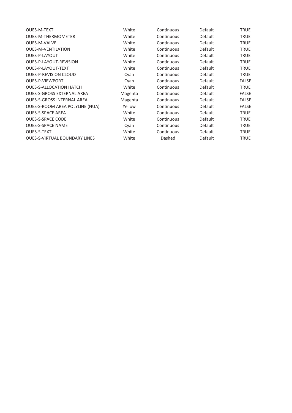| <b>OUES-M-TEXT</b>                   | White   | Continuous | Default | TRUE         |
|--------------------------------------|---------|------------|---------|--------------|
| <b>OUES-M-THERMOMETER</b>            | White   | Continuous | Default | <b>TRUE</b>  |
| <b>OUES-M-VALVE</b>                  | White   | Continuous | Default | <b>TRUE</b>  |
| <b>OUES-M-VENTILATION</b>            | White   | Continuous | Default | TRUE         |
| OUES-P-LAYOUT                        | White   | Continuous | Default | TRUE         |
| OUES-P-LAYOUT-REVISION               | White   | Continuous | Default | <b>TRUE</b>  |
| OUES-P-LAYOUT-TEXT                   | White   | Continuous | Default | TRUE         |
| <b>OUES-P-REVISION CLOUD</b>         | Cyan    | Continuous | Default | <b>TRUE</b>  |
| <b>OUES-P-VIEWPORT</b>               | Cyan    | Continuous | Default | <b>FALSE</b> |
| <b>OUES-S-ALLOCATION HATCH</b>       | White   | Continuous | Default | <b>TRUE</b>  |
| <b>OUES-S-GROSS EXTERNAL AREA</b>    | Magenta | Continuous | Default | <b>FALSE</b> |
| <b>OUES-S-GROSS INTERNAL AREA</b>    | Magenta | Continuous | Default | <b>FALSE</b> |
| OUES-S-ROOM AREA POLYLINE (NUA)      | Yellow  | Continuous | Default | <b>FALSE</b> |
| <b>OUES-S-SPACE AREA</b>             | White   | Continuous | Default | TRUE         |
| <b>OUES-S-SPACE CODE</b>             | White   | Continuous | Default | TRUE         |
| <b>OUES-S-SPACE NAME</b>             | Cyan    | Continuous | Default | <b>TRUE</b>  |
| <b>OUES-S-TEXT</b>                   | White   | Continuous | Default | <b>TRUE</b>  |
| <b>OUES-S-VIRTUAL BOUNDARY LINES</b> | White   | Dashed     | Default | TRUE         |
|                                      |         |            |         |              |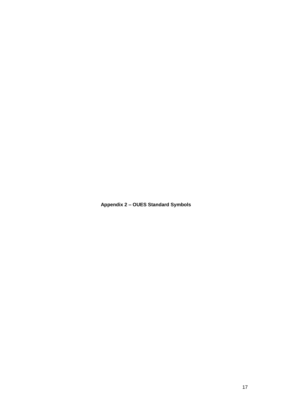<span id="page-16-0"></span>**Appendix 2 – OUES Standard Symbols**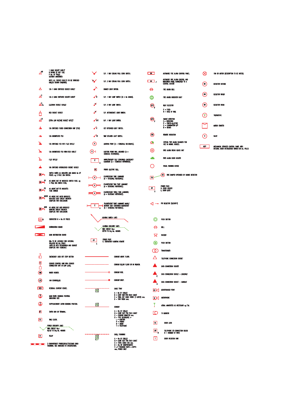| ൧഻                       | 1 GANG SOCKET OUTLET<br>N RATING (IF NOT 13A)<br>P No. OF POLES<br>SUITABLY ANNOTATED                                                     |                            | S.P. 1 WAY CEILING PULL CORD SWITCH.                                                                                                                    |   |
|--------------------------|-------------------------------------------------------------------------------------------------------------------------------------------|----------------------------|---------------------------------------------------------------------------------------------------------------------------------------------------------|---|
|                          | NOTE: ALL SOCKET OUTLETS TO BE SINTCHED<br>UNLESS SHOWN OTHERWISE                                                                         |                            | S.P. 2 WAY CEILING PULL CORD SWITCH.                                                                                                                    |   |
| δ                        | 13A 1 GANG SIMTCHED SOCKET OUTLET                                                                                                         |                            | DIMMER LIGHT SWITCH.                                                                                                                                    |   |
| $\mathbb{A}^2$           | 13A 2 GANG SIMTCHED SOCKET OUTLET                                                                                                         | "                          | S.P. 1 WAY LIGHT SWITCH (N = No GANGS).                                                                                                                 |   |
| ፈ                        | ELECTRAK SOCKET OUTLET                                                                                                                    | J                          | S.P. 2 WAY LIGHT SWITCH.                                                                                                                                |   |
| A                        | RCD SOCKET OUTLET                                                                                                                         | ✔                          | S.P. INTERMEDIATE LIGHT SWITCH.                                                                                                                         |   |
| ۳,                       | EXTRA LOW VOLTAGE SOCKET OUTLET                                                                                                           | ≪ D.P.                     | D.P. 1 WAY LIGHT SWITCH.                                                                                                                                |   |
| Л                        | 13A SWITCHED FUSED CONNECTION UNIT (FCU)                                                                                                  | ∝                          | KEY OPERATED LIGHT SWITCH.                                                                                                                              |   |
| Δ                        | 13A UNSWITCHED FCU                                                                                                                        | ๔ฃ                         | TIME DELAYED LIGHT SWITCH.                                                                                                                              |   |
| ж                        | 13A SWITCHED FOU WITH FLEX OUTLET                                                                                                         | $^{\left( \cdot \right) }$ | LIGHTING POINT (A = SCHEDULE REFERENCE).                                                                                                                |   |
| ж                        | 13A UNSWITCHED FCU WITH FLEX OUTLET                                                                                                       | (A)                        | LIGHTING POINT WALL MOUNTED (A =<br>SCHEDULE REFERENCE).                                                                                                |   |
|                          | FLEX OUTLET                                                                                                                               | E                          | MAINS/BATTERY SELF CONTAINED EMERGENCY<br>LUMINARE (A = SCHEDULE REFERENCE).                                                                            |   |
|                          | 16A SWITCHED INTERLOCKED SOCKET OUTLET                                                                                                    | $\mathbf{E}$               | PHOTO ELECTRIC CELL.                                                                                                                                    |   |
| 30 HH                    | SWITCH RATED AS INDICATED AND GIVING No OF<br>POLES. eg 3 POLE 30A SWITCH.                                                                | N                          | FLUORESCENT TUBE LUMINAIRE<br>(A = SCHEDULE REFERENCE).                                                                                                 |   |
| 30 ##                    | AS ABOVE BUT SF INDICATES SIMITCH FUSE. eg<br>4 POLE 60A SWITCH FUSE.                                                                     | ٨                          | FLUORESCENT TWIN TUBE LUMINARE<br>(A = SCHEDULE REFERENCE).                                                                                             |   |
| <b>FS</b><br>回#          | AS ABOVE BUT FS INDICATES<br>FUSE SWITCH                                                                                                  | $\mathbf{v}$               | FLUORESCENT THREE TUBE LUMINAIRE<br>(A = SCHEDULE REFERENCE).                                                                                           | ſ |
| MCCB<br>30 <sub>th</sub> | AS ABOVE BUT MCCB INDICATES<br>MOULDED CASE CIRCUIT BREAKER<br><b>COMPLETE WITH ENCLOSURE</b>                                             |                            |                                                                                                                                                         |   |
| MCD<br>30 ##             | AS ABOVE BUT MCB INDICATES<br>NITURE CIRCUIT BREAKER<br><b>COMPLETE WITH ENCLOSURE</b>                                                    | Ε                          | FLUORESCENT TUBE LUMINAIRE MAINS/<br>BATTERY SELF CONTAINED EMERGENCY<br>(A = SCHEDULE REFERENCE).                                                      |   |
| H۳                       | CONTACTOR N = No OF POLES                                                                                                                 |                            | LIGHTING SWITCH LINES                                                                                                                                   |   |
|                          | <b>DISTRIBUTION BOARD</b>                                                                                                                 |                            | <b>LIGHTING CIRCUITRY LINES</b><br><b>WITH CIRCUIT No.s</b>                                                                                             |   |
| ਵ                        | MAIN DISTRIBUTION BOARD                                                                                                                   |                            | <b>REFER TO Drg No. 400005</b>                                                                                                                          |   |
|                          | DBs TO BE LOCKABLE WITH INTEGRAL<br><b>ISOLATOR ON ALL POLES</b><br>LABELLED WITH DESIGNATION AND SOURCE<br><b>COMPLETE WITH SCHEDULE</b> | PP<br>Е                    | POWER PACK<br>E. EMERGENCY LIGHTING REMOTE                                                                                                              |   |
| ቶ                        | <b>EMERGENCY LOCK OFF STOP BUTTON</b>                                                                                                     |                            | CONDUIT ABOVE FLOOR.                                                                                                                                    |   |
| $\mathbf{c}$             | COOKER CONTROL UNIT WITH COOKER<br>CONNECTION UNIT AT LOW LEVEL.                                                                          |                            | CONDUIT BELOW FLOOR OR IN TRENCH.                                                                                                                       |   |
| O)                       | <b>WATER HEATER.</b>                                                                                                                      |                            | <b>CONDUIT RISE.</b><br>О                                                                                                                               |   |
|                          | FAN CONTROLLER.                                                                                                                           |                            | CONDUIT DROP.                                                                                                                                           |   |
| RCD                      | RESIDUAL CURRENT DEVICE                                                                                                                   | 새                          |                                                                                                                                                         |   |
| ≏                        | MAIN EARTH BONDING POSITION.<br>INDICATING SIZE                                                                                           |                            | A = No OF CABLES<br>B = CORE SIZE FOR EACH CABLE<br>C = TOTAL NET CABLE WIDTH (1 LAYER) mm.<br>$D = TRAY$ width $mm$ .                                  |   |
| €                        | SUPPLEMENTARY EARTH BONDING POSITION.                                                                                                     | $rac{A}{C}$ <sup>B</sup>   | <b>CONDUIT</b>                                                                                                                                          |   |
| п                        | <b>EARTH BAR OR TERMINAL.</b>                                                                                                             |                            | A = No of cables<br>B = core size for each cable<br>C = conduit diameter mm.                                                                            |   |
| $ \mathbf{r} $           | TIME CLOCK.                                                                                                                               |                            | $D = MPE REFERENCE$ :-<br>L = LIGHTING<br>$P = POWER$<br>$R = R4010$                                                                                    |   |
|                          | POWER CIRCUITRY LINES<br><b>WITH CIRCUIT No.s</b><br><b>REFER TO Drg No. 400005</b>                                                       |                            | T = TELEPHONE                                                                                                                                           |   |
| R                        | RELAY                                                                                                                                     | 쀼                          | CABLE TRUNKING                                                                                                                                          |   |
|                          | 3 COMPARTMENT POWER/DATA/TELECOMS DADO<br>TRUNKING. SIZE INDICATED IN SPECIFICATION.                                                      |                            | A = No OF CABLES<br>B = CORE SIZE FOR EACH CABLE<br>C = TOTAL CABLE CSA mm.<br>D = No OF COMPARTMENTS<br>E x F TRUNKING WIDTH x DEPTH<br>mm, POWER ONLY |   |

| $\blacksquare$ | AUTOMATIC FIRE ALARM CONTROL PANEL.                                                    | ∞    | FAN OR MOTOR (DESCRIPTION TO BE NOTED).                                                 |
|----------------|----------------------------------------------------------------------------------------|------|-----------------------------------------------------------------------------------------|
| ு,             | AUTOWATIC FIRE ALARM CONTROL AND<br>INDICATION PANEL CONNECTED TO A<br>CENTRAL STATION | ( DO | DETECTOR OUTSIDE                                                                        |
| <del>⊊</del>   | FIRE ALARM BELL                                                                        |      |                                                                                         |
|                | FIRE ALARM INDICATOR LIGHT                                                             | DW   | DETECTOR WATER                                                                          |
| (M)            | HEAT DETECTOR                                                                          | DR   | DETECTOR ROOM                                                                           |
|                | $F = FIXED$<br>R = RATE OF RISE                                                        |      |                                                                                         |
| $(\vee)$       | SMOKE DETECTOR                                                                         | Ŧ    | THERMOSTAT.                                                                             |
|                | <b>THE CONSATION<br/>P = PHOTO-ELECTRIC<br/>C = COMBINATION I/P<br/>B = BEAMS</b>      |      | <b>MOTOR STARTER</b>                                                                    |
| ത              | <b>REMOTE INDICATION</b>                                                               | V    | <b><i>VALVE</i></b>                                                                     |
| Gе             | SPECIAL FIRE ALARM SOUNDER FOR<br>USE IN ANIMAL HOUSES.                                |      |                                                                                         |
| ⊚              | FIRE ALARM BREAK GLASS UNIT                                                            | MCP  | MECHANICAL SERVICES CONTROL PANEL WITH<br>INTEGRAL DOOR INTERLOCKED SWITCH ON ALL POLES |
|                | FIRE ALARM DOOR HOLDER                                                                 |      |                                                                                         |
| ( ∙            | VISUAL WARNING DEVICE                                                                  |      |                                                                                         |
| Đ              | (a)<br>FIRE DAMPER OPERATED BY SMOKE DETECTOR                                          |      |                                                                                         |
| PP<br>н        | Power Pack<br>H. Door Holder<br>L. Door Lock                                           |      |                                                                                         |
| ⊲              | PIR DETECTOR (SECURITY)                                                                |      |                                                                                         |
| ◎              | PUSH BUTTON                                                                            |      |                                                                                         |
| ଋ              | BELL                                                                                   |      |                                                                                         |
| Σ              | <b>BUZZER</b>                                                                          |      |                                                                                         |
| ⊛              | PUSH BUTTON                                                                            |      |                                                                                         |
| <u>CO.</u>     | <b>TRANSFORMER</b>                                                                     |      |                                                                                         |
|                | TELEPHONE CONNECTION SOCKET                                                            |      |                                                                                         |
|                | DATA CONNECTION SOCKET                                                                 |      |                                                                                         |
| τ              | DATA CONNECTION SOCKET - ETHERNET                                                      |      |                                                                                         |
| ▲<br>G         | DATA CONNECTION SOCKET - GANDALF                                                       |      |                                                                                         |
|                | <b>LS</b> LOUDSPEAKER POINT                                                            |      |                                                                                         |
| гк             | <b>MICROPHONE</b>                                                                      |      |                                                                                         |
| Y              | AERIAL ANNOTATED AS NECESSARY og F.M.                                                  |      |                                                                                         |
| Ю              | TV MONITOR                                                                             |      |                                                                                         |
| D.             | DOOR LOCK                                                                              |      |                                                                                         |
| ᄜ              | telephone cti connection block<br>N = Number of ways                                   |      |                                                                                         |
| Ш              | DOOR INTERCOM UNIT                                                                     |      |                                                                                         |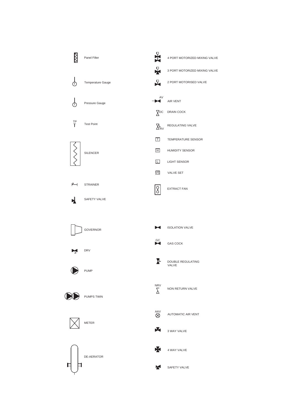





PUMPS TWIN







AAV<br>**©** AUTOMATIC AIR VENT

NON RETURN VALVE



 $\sum\limits_{\Delta}^{\text{NRV}}$ 

X. 4 WAY VALVE

K SAFETY VALVE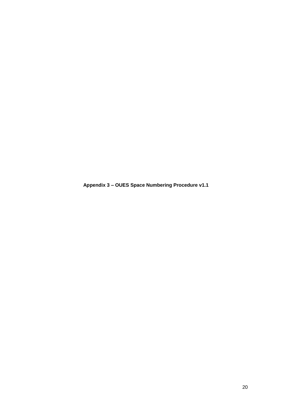<span id="page-19-0"></span>**Appendix 3 – OUES Space Numbering Procedure v1.1**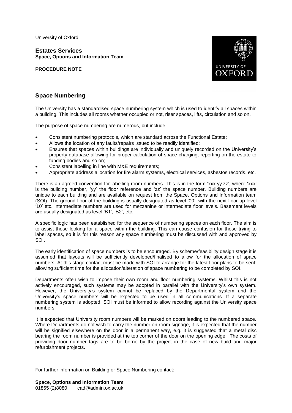University of Oxford

**Estates Services Space, Options and Information Team**

**PROCEDURE NOTE**



## **Space Numbering**

The University has a standardised space numbering system which is used to identify all spaces within a building. This includes all rooms whether occupied or not, riser spaces, lifts, circulation and so on.

The purpose of space numbering are numerous, but include:

- Consistent numbering protocols, which are standard across the Functional Estate;
- Allows the location of any faults/repairs issued to be readily identified;
- Ensures that spaces within buildings are individually and uniquely recorded on the University's property database allowing for proper calculation of space charging, reporting on the estate to funding bodies and so on;
- Consistent labelling in line with M&E requirements;
- Appropriate address allocation for fire alarm systems, electrical services, asbestos records, etc.

There is an agreed convention for labelling room numbers. This is in the form 'xxx.yy.zz', where 'xxx' is the building number, 'yy' the floor reference and 'zz' the space number. Building numbers are unique to each building and are available on request from the Space, Options and Information team (SOI). The ground floor of the building is usually designated as level '00', with the next floor up level '10' etc. Intermediate numbers are used for mezzanine or intermediate floor levels. Basement levels are usually designated as level 'B1', 'B2', etc.

A specific logic has been established for the sequence of numbering spaces on each floor. The aim is to assist those looking for a space within the building. This can cause confusion for those trying to label spaces, so it is for this reason any space numbering must be discussed with and approved by SOI.

The early identification of space numbers is to be encouraged. By scheme/feasibility design stage it is assumed that layouts will be sufficiently developed/finalised to allow for the allocation of space numbers. At this stage contact must be made with SOI to arrange for the latest floor plans to be sent; allowing sufficient time for the allocation/alteration of space numbering to be completed by SOI.

Departments often wish to impose their own room and floor numbering systems. Whilst this is not actively encouraged, such systems may be adopted in parallel with the University's own system. However, the University's system cannot be replaced by the Departmental system and the University's space numbers will be expected to be used in all communications. If a separate numbering system is adopted, SOI must be informed to allow recording against the University space numbers.

It is expected that University room numbers will be marked on doors leading to the numbered space. Where Departments do not wish to carry the number on room signage, it is expected that the number will be signified elsewhere on the door in a permanent way, e.g. it is suggested that a metal disc bearing the room number is provided at the top corner of the door on the opening edge. The costs of providing door number tags are to be borne by the project in the case of new build and major refurbishment projects.

For further information on Building or Space Numbering contact:

**Space, Options and Information Team** 01865 (2)8080 cad@admin.ox.ac.uk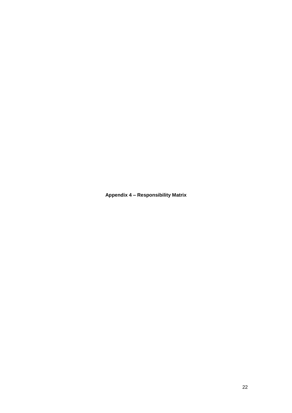<span id="page-21-0"></span>**Appendix 4 – Responsibility Matrix**